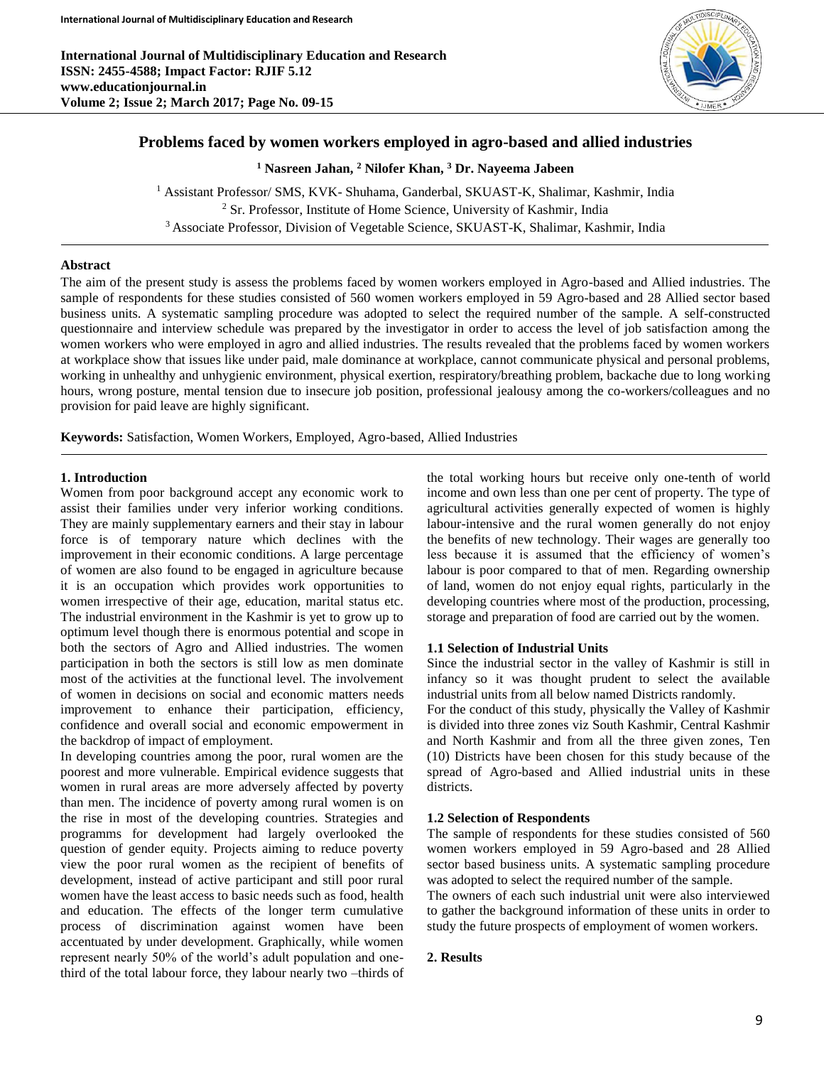

# **Problems faced by women workers employed in agro-based and allied industries**

**<sup>1</sup> Nasreen Jahan, <sup>2</sup> Nilofer Khan, <sup>3</sup> Dr. Nayeema Jabeen**

<sup>1</sup> Assistant Professor/ SMS, KVK- Shuhama, Ganderbal, SKUAST-K, Shalimar, Kashmir, India <sup>2</sup> Sr. Professor, Institute of Home Science, University of Kashmir, India <sup>3</sup>Associate Professor, Division of Vegetable Science, SKUAST-K, Shalimar, Kashmir, India

#### **Abstract**

The aim of the present study is assess the problems faced by women workers employed in Agro-based and Allied industries. The sample of respondents for these studies consisted of 560 women workers employed in 59 Agro-based and 28 Allied sector based business units. A systematic sampling procedure was adopted to select the required number of the sample. A self-constructed questionnaire and interview schedule was prepared by the investigator in order to access the level of job satisfaction among the women workers who were employed in agro and allied industries. The results revealed that the problems faced by women workers at workplace show that issues like under paid, male dominance at workplace, cannot communicate physical and personal problems, working in unhealthy and unhygienic environment, physical exertion, respiratory/breathing problem, backache due to long working hours, wrong posture, mental tension due to insecure job position, professional jealousy among the co-workers/colleagues and no provision for paid leave are highly significant.

**Keywords:** Satisfaction, Women Workers, Employed, Agro-based, Allied Industries

# **1. Introduction**

Women from poor background accept any economic work to assist their families under very inferior working conditions. They are mainly supplementary earners and their stay in labour force is of temporary nature which declines with the improvement in their economic conditions. A large percentage of women are also found to be engaged in agriculture because it is an occupation which provides work opportunities to women irrespective of their age, education, marital status etc. The industrial environment in the Kashmir is yet to grow up to optimum level though there is enormous potential and scope in both the sectors of Agro and Allied industries. The women participation in both the sectors is still low as men dominate most of the activities at the functional level. The involvement of women in decisions on social and economic matters needs improvement to enhance their participation, efficiency, confidence and overall social and economic empowerment in the backdrop of impact of employment.

In developing countries among the poor, rural women are the poorest and more vulnerable. Empirical evidence suggests that women in rural areas are more adversely affected by poverty than men. The incidence of poverty among rural women is on the rise in most of the developing countries. Strategies and programms for development had largely overlooked the question of gender equity. Projects aiming to reduce poverty view the poor rural women as the recipient of benefits of development, instead of active participant and still poor rural women have the least access to basic needs such as food, health and education. The effects of the longer term cumulative process of discrimination against women have been accentuated by under development. Graphically, while women represent nearly 50% of the world's adult population and onethird of the total labour force, they labour nearly two –thirds of

the total working hours but receive only one-tenth of world income and own less than one per cent of property. The type of agricultural activities generally expected of women is highly labour-intensive and the rural women generally do not enjoy the benefits of new technology. Their wages are generally too less because it is assumed that the efficiency of women's labour is poor compared to that of men. Regarding ownership of land, women do not enjoy equal rights, particularly in the developing countries where most of the production, processing, storage and preparation of food are carried out by the women.

# **1.1 Selection of Industrial Units**

Since the industrial sector in the valley of Kashmir is still in infancy so it was thought prudent to select the available industrial units from all below named Districts randomly.

For the conduct of this study, physically the Valley of Kashmir is divided into three zones viz South Kashmir, Central Kashmir and North Kashmir and from all the three given zones, Ten (10) Districts have been chosen for this study because of the spread of Agro-based and Allied industrial units in these districts.

# **1.2 Selection of Respondents**

The sample of respondents for these studies consisted of 560 women workers employed in 59 Agro-based and 28 Allied sector based business units. A systematic sampling procedure was adopted to select the required number of the sample.

The owners of each such industrial unit were also interviewed to gather the background information of these units in order to study the future prospects of employment of women workers.

# **2. Results**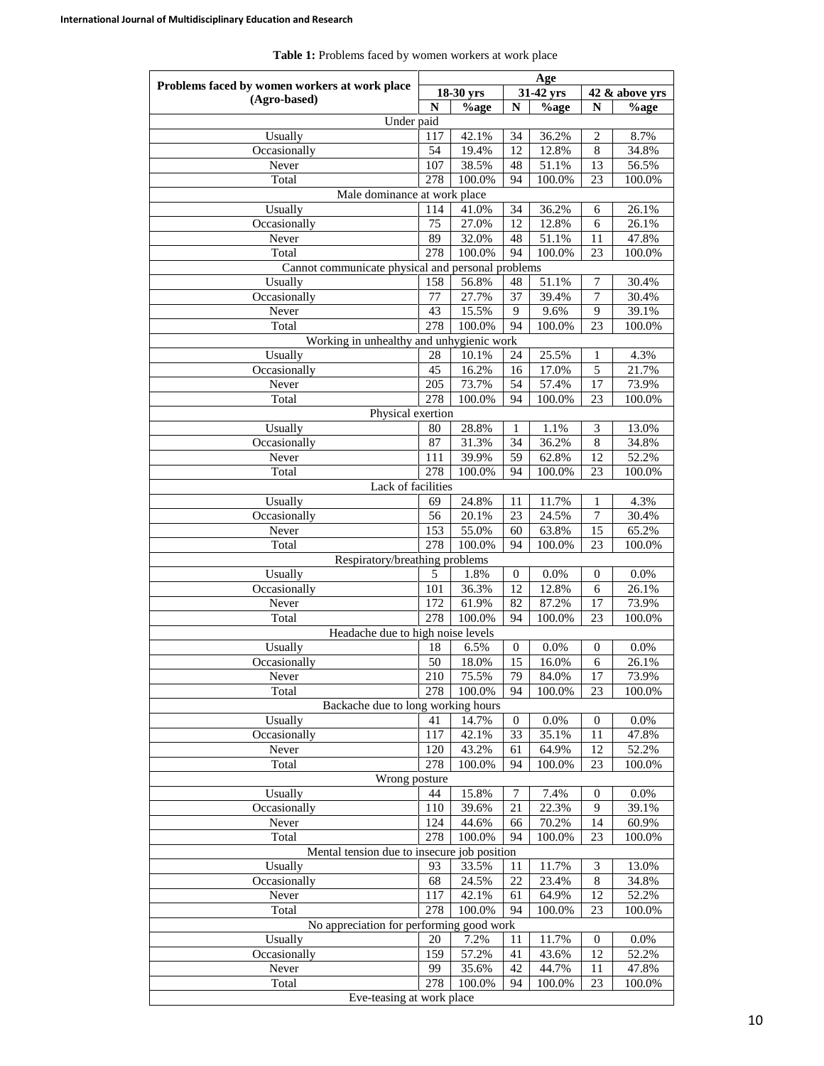| Problems faced by women workers at work place     | Age         |                 |                  |                |                  |                 |  |
|---------------------------------------------------|-------------|-----------------|------------------|----------------|------------------|-----------------|--|
| (Agro-based)                                      |             | 18-30 yrs       |                  | 31-42 yrs      |                  | 42 & above yrs  |  |
|                                                   | $\mathbf N$ | $%$ age         | $\mathbf N$      | $%$ age        | N                | %age            |  |
| Under paid                                        |             |                 |                  |                |                  |                 |  |
| Usually                                           | 117         | 42.1%           | 34               | 36.2%          | 2                | 8.7%            |  |
| Occasionally                                      | 54          | 19.4%           | 12               | 12.8%          | 8                | 34.8%           |  |
| Never                                             | 107         | 38.5%           | 48               | 51.1%          | 13               | 56.5%           |  |
| Total                                             | 278         | 100.0%          | 94               | 100.0%         | 23               | 100.0%          |  |
| Male dominance at work place                      |             |                 |                  |                |                  |                 |  |
| Usually                                           | 114         | 41.0%           | 34               | 36.2%          | 6                | 26.1%           |  |
| Occasionally                                      | 75          | 27.0%           | 12               | 12.8%          | 6                | 26.1%           |  |
| Never                                             | 89          | 32.0%           | 48               | 51.1%          | 11               | 47.8%           |  |
| Total                                             | 278         | 100.0%          | 94               | 100.0%         | 23               | 100.0%          |  |
| Cannot communicate physical and personal problems |             |                 |                  |                |                  |                 |  |
| Usually                                           | 158         | 56.8%           | 48               | 51.1%          | 7                | 30.4%           |  |
| Occasionally                                      | 77          | 27.7%           | 37               | 39.4%          | 7                | 30.4%           |  |
| Never                                             | 43          | 15.5%           | 9                | 9.6%           | 9                | 39.1%           |  |
| Total                                             | 278         | 100.0%          | 94               | 100.0%         | 23               | 100.0%          |  |
| Working in unhealthy and unhygienic work          |             |                 |                  |                |                  |                 |  |
| Usually                                           | 28          | 10.1%           | 24               | 25.5%          | 1                | 4.3%            |  |
| Occasionally                                      | 45          | 16.2%           | 16               | 17.0%          | 5                | 21.7%           |  |
| Never                                             | 205         | 73.7%           | 54               | 57.4%          | 17               | 73.9%           |  |
| Total                                             | 278         | 100.0%          | 94               | 100.0%         | 23               | 100.0%          |  |
| Physical exertion                                 |             |                 |                  |                |                  |                 |  |
| Usually                                           | 80          | 28.8%           | 1                | 1.1%           | 3                | 13.0%           |  |
| Occasionally<br>Never                             | 87<br>111   | 31.3%           | 34               | 36.2%          | 8<br>12          | 34.8%           |  |
| Total                                             | 278         | 39.9%<br>100.0% | 59<br>94         | 62.8%          | 23               | 52.2%<br>100.0% |  |
| Lack of facilities                                |             |                 |                  | 100.0%         |                  |                 |  |
| Usually                                           | 69          | 24.8%           |                  |                |                  | 4.3%            |  |
| Occasionally                                      | 56          | 20.1%           | 11<br>23         | 11.7%<br>24.5% | 1                | 30.4%           |  |
| Never                                             | 153         | 55.0%           | 60               | 63.8%          | 7<br>15          | 65.2%           |  |
| Total                                             | 278         | 100.0%          | 94               | 100.0%         | 23               | 100.0%          |  |
| Respiratory/breathing problems                    |             |                 |                  |                |                  |                 |  |
| Usually                                           | 5           | 1.8%            | 0                | 0.0%           | 0                | $0.0\%$         |  |
| Occasionally                                      | 101         | 36.3%           | 12               | 12.8%          | 6                | 26.1%           |  |
| Never                                             | 172         | 61.9%           | 82               | 87.2%          | 17               | 73.9%           |  |
| Total                                             | 278         | 100.0%          | 94               | 100.0%         | 23               | 100.0%          |  |
| Headache due to high noise levels                 |             |                 |                  |                |                  |                 |  |
| Usually                                           | 18          | 6.5%            | $\boldsymbol{0}$ | 0.0%           | 0                | 0.0%            |  |
| Occasionally                                      | 50          | 18.0%           | 15               | 16.0%          | 6                | 26.1%           |  |
| Never                                             | 210         | 75.5%           | 79               | 84.0%          | 17               | 73.9%           |  |
| Total                                             | 278         | 100.0%          | 94               | 100.0%         | 23               | 100.0%          |  |
| Backache due to long working hours                |             |                 |                  |                |                  |                 |  |
| Usually                                           | 41          | 14.7%           | $\boldsymbol{0}$ | 0.0%           | 0                | 0.0%            |  |
| Occasionally                                      | 117         | 42.1%           | 33               | 35.1%          | 11               | 47.8%           |  |
| Never                                             | 120         | 43.2%           | 61               | 64.9%          | 12               | 52.2%           |  |
| Total                                             | 278         | 100.0%          | 94               | 100.0%         | 23               | 100.0%          |  |
| Wrong posture                                     |             |                 |                  |                |                  |                 |  |
| Usually                                           | 44          | 15.8%           | 7                | 7.4%           | $\boldsymbol{0}$ | $0.0\%$         |  |
| Occasionally                                      | 110         | 39.6%           | 21               | 22.3%          | 9                | 39.1%           |  |
| Never                                             | 124         | 44.6%           | 66               | 70.2%          | 14               | 60.9%           |  |
| Total                                             | 278         | 100.0%          | 94               | 100.0%         | 23               | 100.0%          |  |
| Mental tension due to insecure job position       |             |                 |                  |                |                  |                 |  |
| Usually                                           | 93          | 33.5%           | 11               | 11.7%          | $\mathfrak{Z}$   | 13.0%           |  |
| Occasionally                                      | 68          | 24.5%           | 22               | 23.4%          | $\,8\,$          | 34.8%           |  |
| Never                                             | 117         | 42.1%           | 61               | 64.9%          | 12               | 52.2%           |  |
| Total                                             | 278         | 100.0%          | 94               | 100.0%         | 23               | 100.0%          |  |
| No appreciation for performing good work          |             |                 |                  |                |                  |                 |  |
| Usually                                           | 20          | 7.2%            | 11               | 11.7%          | $\boldsymbol{0}$ | $0.0\%$         |  |
| Occasionally                                      | 159         | 57.2%           | 41               | 43.6%          | 12               | 52.2%           |  |
| Never                                             | 99          | 35.6%           | 42               | 44.7%          | 11               | 47.8%           |  |
| Total                                             | 278         | 100.0%          | 94               | 100.0%         | 23               | 100.0%          |  |
| Eve-teasing at work place                         |             |                 |                  |                |                  |                 |  |

**Table 1:** Problems faced by women workers at work place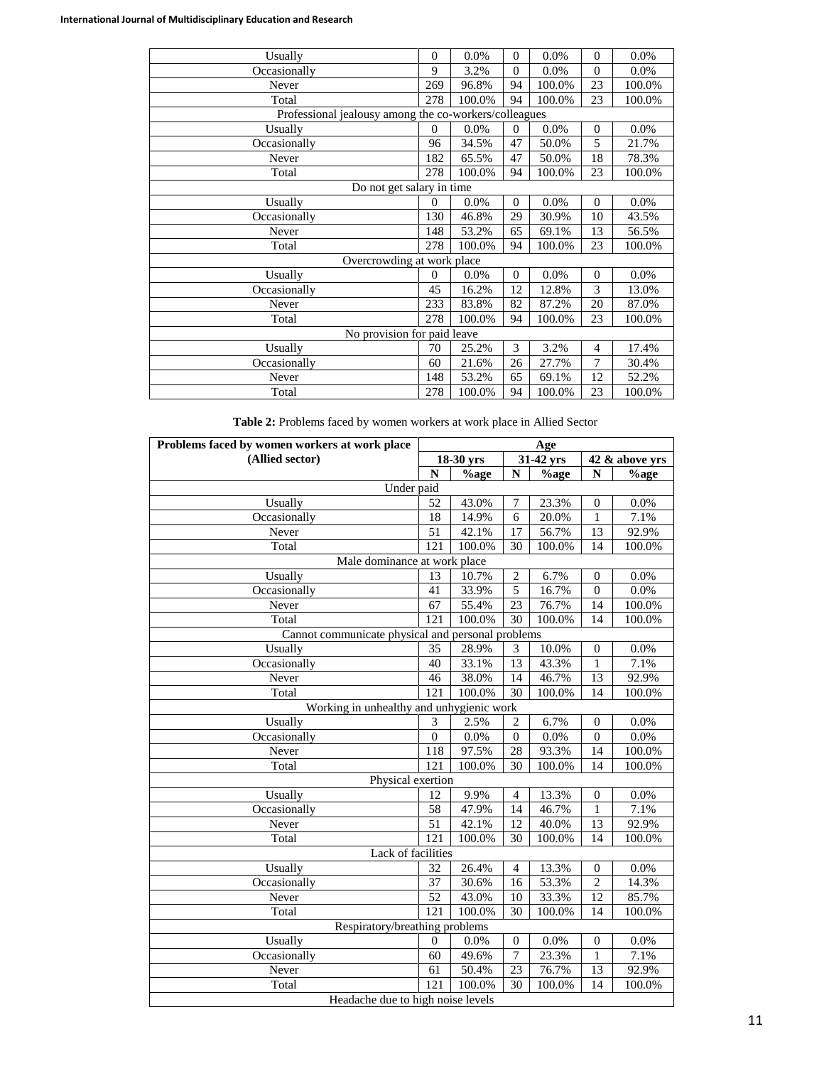| Usually                                               | $\mathbf{0}$ | 0.0%   | $\mathbf{0}$   | 0.0%   | $\theta$       | 0.0%   |  |  |
|-------------------------------------------------------|--------------|--------|----------------|--------|----------------|--------|--|--|
| Occasionally                                          | 9            | 3.2%   | $\overline{0}$ | 0.0%   | $\Omega$       | 0.0%   |  |  |
| Never                                                 | 269          | 96.8%  | 94             | 100.0% | 23             | 100.0% |  |  |
| Total                                                 | 278          | 100.0% | 94             | 100.0% | 23             | 100.0% |  |  |
| Professional jealousy among the co-workers/colleagues |              |        |                |        |                |        |  |  |
| Usually                                               | $\Omega$     | 0.0%   | $\mathbf{0}$   | 0.0%   | $\mathbf{0}$   | 0.0%   |  |  |
| Occasionally                                          | 96           | 34.5%  | 47             | 50.0%  | 5              | 21.7%  |  |  |
| Never                                                 | 182          | 65.5%  | 47             | 50.0%  | 18             | 78.3%  |  |  |
| Total                                                 | 278          | 100.0% | 94             | 100.0% | 23             | 100.0% |  |  |
| Do not get salary in time                             |              |        |                |        |                |        |  |  |
| Usually                                               | $\Omega$     | 0.0%   | $\overline{0}$ | 0.0%   | $\Omega$       | 0.0%   |  |  |
| Occasionally                                          | 130          | 46.8%  | 29             | 30.9%  | 10             | 43.5%  |  |  |
| Never                                                 | 148          | 53.2%  | 65             | 69.1%  | 13             | 56.5%  |  |  |
| Total                                                 | 278          | 100.0% | 94             | 100.0% | 23             | 100.0% |  |  |
| Overcrowding at work place                            |              |        |                |        |                |        |  |  |
| Usually                                               | $\Omega$     | 0.0%   | $\overline{0}$ | 0.0%   | $\Omega$       | 0.0%   |  |  |
| Occasionally                                          | 45           | 16.2%  | 12             | 12.8%  | 3              | 13.0%  |  |  |
| Never                                                 | 233          | 83.8%  | 82             | 87.2%  | 20             | 87.0%  |  |  |
| Total                                                 | 278          | 100.0% | 94             | 100.0% | 23             | 100.0% |  |  |
| No provision for paid leave                           |              |        |                |        |                |        |  |  |
| Usually                                               | 70           | 25.2%  | 3              | 3.2%   | $\overline{4}$ | 17.4%  |  |  |
| Occasionally                                          | 60           | 21.6%  | 26             | 27.7%  | $\overline{7}$ | 30.4%  |  |  |
| Never                                                 | 148          | 53.2%  | 65             | 69.1%  | 12             | 52.2%  |  |  |
| Total                                                 | 278          | 100.0% | 94             | 100.0% | 23             | 100.0% |  |  |

**Table 2:** Problems faced by women workers at work place in Allied Sector

| Problems faced by women workers at work place     | Age              |           |                  |           |                  |         |  |  |
|---------------------------------------------------|------------------|-----------|------------------|-----------|------------------|---------|--|--|
| (Allied sector)                                   |                  | 18-30 yrs |                  | 31-42 yrs | 42 & above yrs   |         |  |  |
|                                                   | $\mathbf N$      | %age      | N                | $%$ age   | N                | $%$ age |  |  |
| Under paid                                        |                  |           |                  |           |                  |         |  |  |
| Usually                                           | 52               | 43.0%     | 7                | 23.3%     | $\mathbf{0}$     | $0.0\%$ |  |  |
| Occasionally                                      | $\overline{18}$  | 14.9%     | $\overline{6}$   | 20.0%     | $\mathbf{1}$     | 7.1%    |  |  |
| Never                                             | 51               | 42.1%     | $\overline{17}$  | 56.7%     | 13               | 92.9%   |  |  |
| Total                                             | $\overline{121}$ | 100.0%    | $\overline{30}$  | 100.0%    | 14               | 100.0%  |  |  |
| Male dominance at work place                      |                  |           |                  |           |                  |         |  |  |
| Usually                                           | 13               | 10.7%     | $\overline{c}$   | 6.7%      | $\boldsymbol{0}$ | $0.0\%$ |  |  |
| Occasionally                                      | 41               | 33.9%     | 5                | 16.7%     | $\mathbf{0}$     | 0.0%    |  |  |
| Never                                             | 67               | 55.4%     | 23               | 76.7%     | 14               | 100.0%  |  |  |
| Total                                             | 121              | 100.0%    | 30               | 100.0%    | 14               | 100.0%  |  |  |
| Cannot communicate physical and personal problems |                  |           |                  |           |                  |         |  |  |
| Usually                                           | 35               | 28.9%     | 3                | 10.0%     | $\boldsymbol{0}$ | $0.0\%$ |  |  |
| Occasionally                                      | 40               | 33.1%     | $\overline{13}$  | 43.3%     | 1                | 7.1%    |  |  |
| Never                                             | 46               | 38.0%     | 14               | 46.7%     | 13               | 92.9%   |  |  |
| Total                                             | 121              | 100.0%    | $\overline{30}$  | 100.0%    | 14               | 100.0%  |  |  |
| Working in unhealthy and unhygienic work          |                  |           |                  |           |                  |         |  |  |
| Usually                                           | 3                | 2.5%      | $\overline{2}$   | 6.7%      | $\boldsymbol{0}$ | 0.0%    |  |  |
| Occasionally                                      | $\overline{0}$   | 0.0%      | $\boldsymbol{0}$ | 0.0%      | $\boldsymbol{0}$ | 0.0%    |  |  |
| Never                                             | 118              | 97.5%     | 28               | 93.3%     | 14               | 100.0%  |  |  |
| Total                                             | 121              | 100.0%    | 30               | 100.0%    | 14               | 100.0%  |  |  |
| Physical exertion                                 |                  |           |                  |           |                  |         |  |  |
| Usually                                           | 12               | 9.9%      | $\overline{4}$   | 13.3%     | $\boldsymbol{0}$ | $0.0\%$ |  |  |
| Occasionally                                      | $\overline{58}$  | 47.9%     | 14               | 46.7%     | 1                | 7.1%    |  |  |
| Never                                             | 51               | 42.1%     | 12               | 40.0%     | $\overline{13}$  | 92.9%   |  |  |
| Total                                             | $\overline{121}$ | 100.0%    | 30               | 100.0%    | 14               | 100.0%  |  |  |
| Lack of facilities                                |                  |           |                  |           |                  |         |  |  |
| Usually                                           | 32               | 26.4%     | $\overline{4}$   | 13.3%     | $\boldsymbol{0}$ | $0.0\%$ |  |  |
| Occasionally                                      | 37               | 30.6%     | $\overline{16}$  | 53.3%     | $\overline{c}$   | 14.3%   |  |  |
| Never                                             | 52               | 43.0%     | 10               | 33.3%     | 12               | 85.7%   |  |  |
| Total                                             | 121              | 100.0%    | 30               | 100.0%    | 14               | 100.0%  |  |  |
| Respiratory/breathing problems                    |                  |           |                  |           |                  |         |  |  |
| Usually                                           | 0                | 0.0%      | $\boldsymbol{0}$ | 0.0%      | $\boldsymbol{0}$ | 0.0%    |  |  |
| Occasionally                                      | 60               | 49.6%     | $\overline{7}$   | 23.3%     | 1                | 7.1%    |  |  |
| Never                                             | $\overline{61}$  | 50.4%     | 23               | 76.7%     | 13               | 92.9%   |  |  |
| Total                                             | 121              | 100.0%    | 30               | 100.0%    | 14               | 100.0%  |  |  |
| Headache due to high noise levels                 |                  |           |                  |           |                  |         |  |  |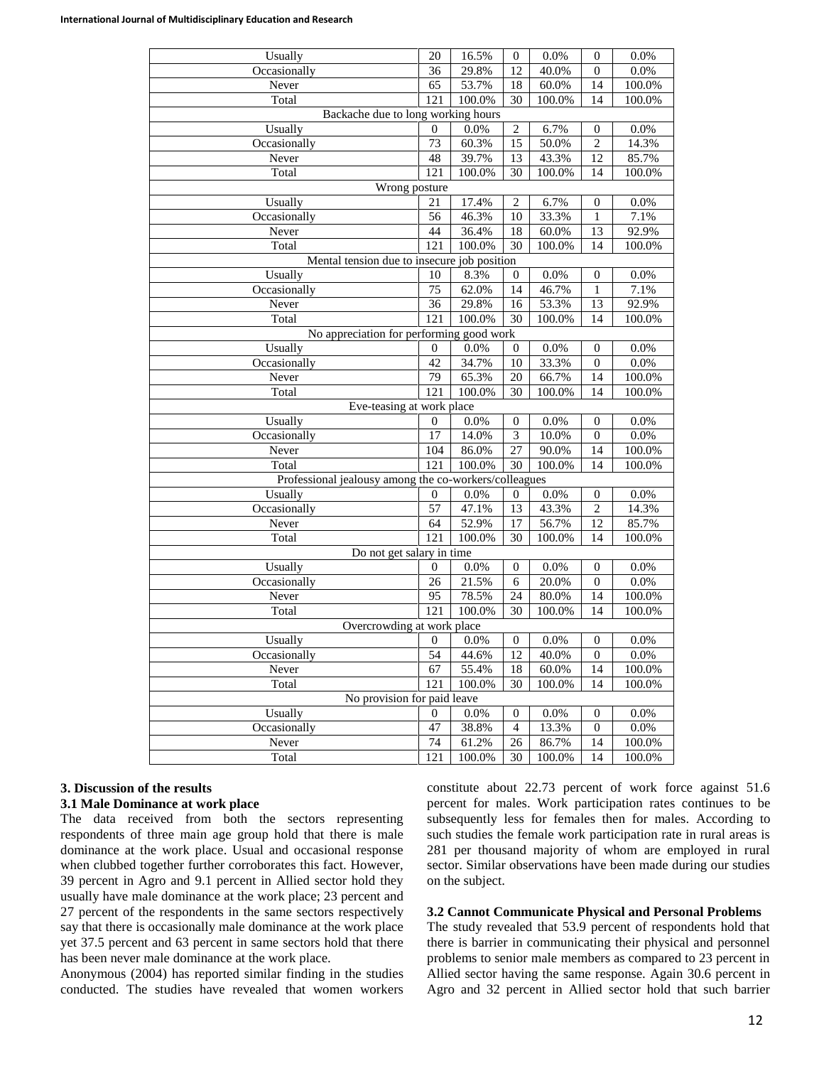| Usually                                               | 20                          | 16.5%   | $\boldsymbol{0}$ | 0.0%    | $\boldsymbol{0}$ | 0.0%   |  |  |  |
|-------------------------------------------------------|-----------------------------|---------|------------------|---------|------------------|--------|--|--|--|
| Occasionally                                          | 36                          | 29.8%   | 12               | 40.0%   | $\boldsymbol{0}$ | 0.0%   |  |  |  |
| Never                                                 | 65                          | 53.7%   | 18               | 60.0%   | 14               | 100.0% |  |  |  |
| Total                                                 | 121                         | 100.0%  | 30               | 100.0%  | 14               | 100.0% |  |  |  |
| Backache due to long working hours                    |                             |         |                  |         |                  |        |  |  |  |
| Usually                                               | $\boldsymbol{0}$            | 0.0%    | $\overline{c}$   | 6.7%    | $\boldsymbol{0}$ | 0.0%   |  |  |  |
| Occasionally                                          | 73                          | 60.3%   | 15               | 50.0%   | $\overline{2}$   | 14.3%  |  |  |  |
| Never                                                 | 48                          | 39.7%   | 13               | 43.3%   | 12               | 85.7%  |  |  |  |
| Total                                                 | 121                         | 100.0%  | 30               | 100.0%  | 14               | 100.0% |  |  |  |
| Wrong posture                                         |                             |         |                  |         |                  |        |  |  |  |
| Usually                                               | 21                          | 17.4%   | $\overline{c}$   | 6.7%    | $\boldsymbol{0}$ | 0.0%   |  |  |  |
| Occasionally                                          | 56                          | 46.3%   | 10               | 33.3%   | 1                | 7.1%   |  |  |  |
| Never                                                 | 44                          | 36.4%   | 18               | 60.0%   | 13               | 92.9%  |  |  |  |
| Total                                                 | 121                         | 100.0%  | $\overline{30}$  | 100.0%  | 14               | 100.0% |  |  |  |
| Mental tension due to insecure job position           |                             |         |                  |         |                  |        |  |  |  |
| Usually                                               | 10                          | 8.3%    | $\boldsymbol{0}$ | $0.0\%$ | $\boldsymbol{0}$ | 0.0%   |  |  |  |
| Occasionally                                          | 75                          | 62.0%   | 14               | 46.7%   | $\mathbf{1}$     | 7.1%   |  |  |  |
| Never                                                 | $\overline{36}$             | 29.8%   | 16               | 53.3%   | $\overline{13}$  | 92.9%  |  |  |  |
| Total                                                 | 121                         | 100.0%  | 30               | 100.0%  | 14               | 100.0% |  |  |  |
| No appreciation for performing good work              |                             |         |                  |         |                  |        |  |  |  |
| Usually                                               | $\boldsymbol{0}$            | 0.0%    | $\boldsymbol{0}$ | $0.0\%$ | $\boldsymbol{0}$ | 0.0%   |  |  |  |
| Occasionally                                          | 42                          | 34.7%   | 10               | 33.3%   | $\boldsymbol{0}$ | 0.0%   |  |  |  |
| Never                                                 | 79                          | 65.3%   | 20               | 66.7%   | 14               | 100.0% |  |  |  |
| Total                                                 | 121                         | 100.0%  | 30               | 100.0%  | 14               | 100.0% |  |  |  |
| Eve-teasing at work place                             |                             |         |                  |         |                  |        |  |  |  |
| Usually                                               | $\boldsymbol{0}$            | 0.0%    | $\boldsymbol{0}$ | 0.0%    | $\boldsymbol{0}$ | 0.0%   |  |  |  |
| Occasionally                                          | 17                          | 14.0%   | $\overline{3}$   | 10.0%   | $\boldsymbol{0}$ | 0.0%   |  |  |  |
| Never                                                 | 104                         | 86.0%   | 27               | 90.0%   | 14               | 100.0% |  |  |  |
| Total                                                 | 121                         | 100.0%  | $\overline{30}$  | 100.0%  | 14               | 100.0% |  |  |  |
| Professional jealousy among the co-workers/colleagues |                             |         |                  |         |                  |        |  |  |  |
| Usually                                               | $\boldsymbol{0}$            | 0.0%    | $\boldsymbol{0}$ | 0.0%    | $\boldsymbol{0}$ | 0.0%   |  |  |  |
| Occasionally                                          | 57                          | 47.1%   | 13               | 43.3%   | $\mathbf{2}$     | 14.3%  |  |  |  |
| Never                                                 | 64                          | 52.9%   | 17               | 56.7%   | $\overline{12}$  | 85.7%  |  |  |  |
| Total                                                 | 121                         | 100.0%  | 30               | 100.0%  | 14               | 100.0% |  |  |  |
| Do not get salary in time                             |                             |         |                  |         |                  |        |  |  |  |
| Usually                                               | $\boldsymbol{0}$            | $0.0\%$ | $\boldsymbol{0}$ | 0.0%    | $\boldsymbol{0}$ | 0.0%   |  |  |  |
| Occasionally                                          | 26                          | 21.5%   | 6                | 20.0%   | $\boldsymbol{0}$ | 0.0%   |  |  |  |
| Never                                                 | 95                          | 78.5%   | 24               | 80.0%   | 14               | 100.0% |  |  |  |
| Total                                                 | 121                         | 100.0%  | 30               | 100.0%  | 14               | 100.0% |  |  |  |
| Overcrowding at work place                            |                             |         |                  |         |                  |        |  |  |  |
| Usually                                               | 0                           | 0.0%    | 0                | 0.0%    | $\bf{0}$         | 0.0%   |  |  |  |
| Occasionally                                          | 54                          | 44.6%   | $\overline{12}$  | 40.0%   | $\boldsymbol{0}$ | 0.0%   |  |  |  |
| Never                                                 | 67                          | 55.4%   | 18               | 60.0%   | 14               | 100.0% |  |  |  |
| Total                                                 | 121                         | 100.0%  | 30               | 100.0%  | 14               | 100.0% |  |  |  |
|                                                       | No provision for paid leave |         |                  |         |                  |        |  |  |  |
| Usually                                               | 0                           | 0.0%    | 0                | 0.0%    | 0                | 0.0%   |  |  |  |
| Occasionally                                          | 47                          | 38.8%   | 4                | 13.3%   | $\boldsymbol{0}$ | 0.0%   |  |  |  |
| Never                                                 | 74                          | 61.2%   | 26               | 86.7%   | 14               | 100.0% |  |  |  |
| Total                                                 | 121                         | 100.0%  | 30               | 100.0%  | 14               | 100.0% |  |  |  |

#### **3. Discussion of the results**

#### **3.1 Male Dominance at work place**

The data received from both the sectors representing respondents of three main age group hold that there is male dominance at the work place. Usual and occasional response when clubbed together further corroborates this fact. However, 39 percent in Agro and 9.1 percent in Allied sector hold they usually have male dominance at the work place; 23 percent and 27 percent of the respondents in the same sectors respectively say that there is occasionally male dominance at the work place yet 37.5 percent and 63 percent in same sectors hold that there has been never male dominance at the work place.

Anonymous (2004) has reported similar finding in the studies conducted. The studies have revealed that women workers constitute about 22.73 percent of work force against 51.6 percent for males. Work participation rates continues to be subsequently less for females then for males. According to such studies the female work participation rate in rural areas is 281 per thousand majority of whom are employed in rural sector. Similar observations have been made during our studies on the subject.

#### **3.2 Cannot Communicate Physical and Personal Problems**

The study revealed that 53.9 percent of respondents hold that there is barrier in communicating their physical and personnel problems to senior male members as compared to 23 percent in Allied sector having the same response. Again 30.6 percent in Agro and 32 percent in Allied sector hold that such barrier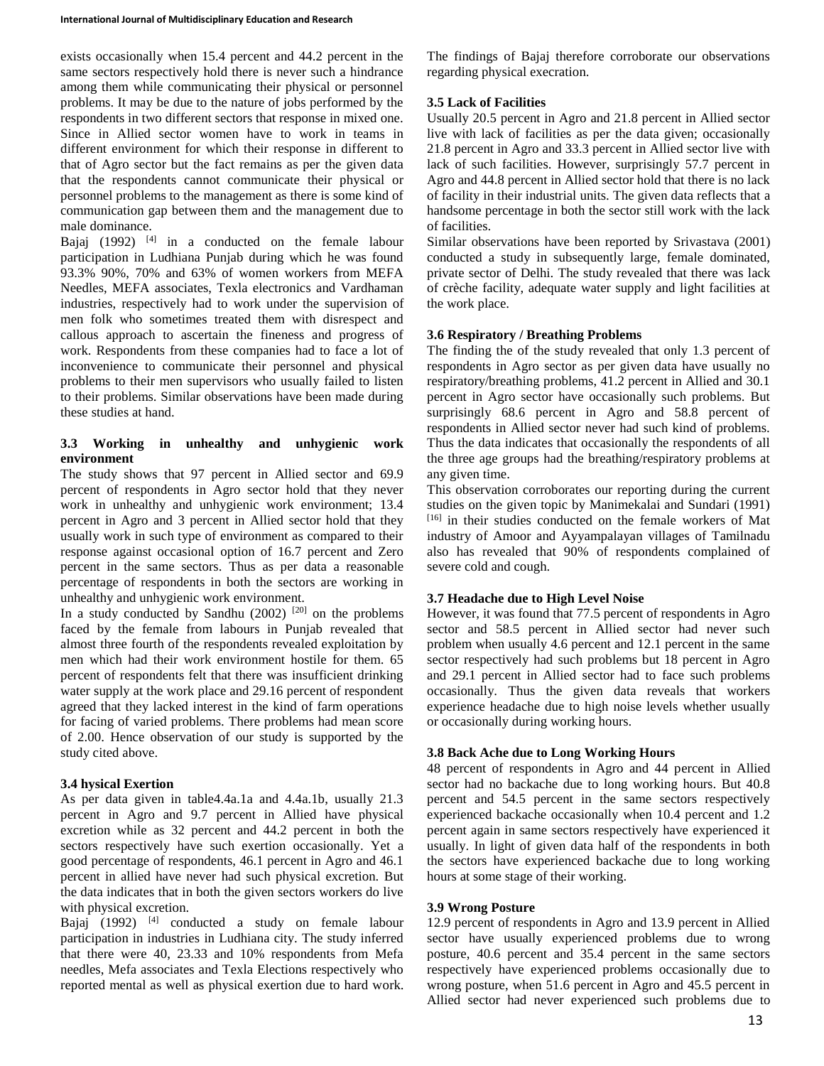exists occasionally when 15.4 percent and 44.2 percent in the same sectors respectively hold there is never such a hindrance among them while communicating their physical or personnel problems. It may be due to the nature of jobs performed by the respondents in two different sectors that response in mixed one. Since in Allied sector women have to work in teams in different environment for which their response in different to that of Agro sector but the fact remains as per the given data that the respondents cannot communicate their physical or personnel problems to the management as there is some kind of communication gap between them and the management due to male dominance.

Bajaj  $(1992)$  <sup>[4]</sup> in a conducted on the female labour participation in Ludhiana Punjab during which he was found 93.3% 90%, 70% and 63% of women workers from MEFA Needles, MEFA associates, Texla electronics and Vardhaman industries, respectively had to work under the supervision of men folk who sometimes treated them with disrespect and callous approach to ascertain the fineness and progress of work. Respondents from these companies had to face a lot of inconvenience to communicate their personnel and physical problems to their men supervisors who usually failed to listen to their problems. Similar observations have been made during these studies at hand.

#### **3.3 Working in unhealthy and unhygienic work environment**

The study shows that 97 percent in Allied sector and 69.9 percent of respondents in Agro sector hold that they never work in unhealthy and unhygienic work environment; 13.4 percent in Agro and 3 percent in Allied sector hold that they usually work in such type of environment as compared to their response against occasional option of 16.7 percent and Zero percent in the same sectors. Thus as per data a reasonable percentage of respondents in both the sectors are working in unhealthy and unhygienic work environment.

In a study conducted by Sandhu  $(2002)$ <sup>[20]</sup> on the problems faced by the female from labours in Punjab revealed that almost three fourth of the respondents revealed exploitation by men which had their work environment hostile for them. 65 percent of respondents felt that there was insufficient drinking water supply at the work place and 29.16 percent of respondent agreed that they lacked interest in the kind of farm operations for facing of varied problems. There problems had mean score of 2.00. Hence observation of our study is supported by the study cited above.

# **3.4 hysical Exertion**

As per data given in table4.4a.1a and 4.4a.1b, usually 21.3 percent in Agro and 9.7 percent in Allied have physical excretion while as 32 percent and 44.2 percent in both the sectors respectively have such exertion occasionally. Yet a good percentage of respondents, 46.1 percent in Agro and 46.1 percent in allied have never had such physical excretion. But the data indicates that in both the given sectors workers do live with physical excretion.

Bajaj  $(1992)$  <sup>[4]</sup> conducted a study on female labour participation in industries in Ludhiana city. The study inferred that there were 40, 23.33 and 10% respondents from Mefa needles, Mefa associates and Texla Elections respectively who reported mental as well as physical exertion due to hard work.

The findings of Bajaj therefore corroborate our observations regarding physical execration.

# **3.5 Lack of Facilities**

Usually 20.5 percent in Agro and 21.8 percent in Allied sector live with lack of facilities as per the data given; occasionally 21.8 percent in Agro and 33.3 percent in Allied sector live with lack of such facilities. However, surprisingly 57.7 percent in Agro and 44.8 percent in Allied sector hold that there is no lack of facility in their industrial units. The given data reflects that a handsome percentage in both the sector still work with the lack of facilities.

Similar observations have been reported by Srivastava (2001) conducted a study in subsequently large, female dominated, private sector of Delhi. The study revealed that there was lack of crèche facility, adequate water supply and light facilities at the work place.

# **3.6 Respiratory / Breathing Problems**

The finding the of the study revealed that only 1.3 percent of respondents in Agro sector as per given data have usually no respiratory/breathing problems, 41.2 percent in Allied and 30.1 percent in Agro sector have occasionally such problems. But surprisingly 68.6 percent in Agro and 58.8 percent of respondents in Allied sector never had such kind of problems. Thus the data indicates that occasionally the respondents of all the three age groups had the breathing/respiratory problems at any given time.

This observation corroborates our reporting during the current studies on the given topic by Manimekalai and Sundari (1991) [16] in their studies conducted on the female workers of Mat industry of Amoor and Ayyampalayan villages of Tamilnadu also has revealed that 90% of respondents complained of severe cold and cough.

# **3.7 Headache due to High Level Noise**

However, it was found that 77.5 percent of respondents in Agro sector and 58.5 percent in Allied sector had never such problem when usually 4.6 percent and 12.1 percent in the same sector respectively had such problems but 18 percent in Agro and 29.1 percent in Allied sector had to face such problems occasionally. Thus the given data reveals that workers experience headache due to high noise levels whether usually or occasionally during working hours.

# **3.8 Back Ache due to Long Working Hours**

48 percent of respondents in Agro and 44 percent in Allied sector had no backache due to long working hours. But 40.8 percent and 54.5 percent in the same sectors respectively experienced backache occasionally when 10.4 percent and 1.2 percent again in same sectors respectively have experienced it usually. In light of given data half of the respondents in both the sectors have experienced backache due to long working hours at some stage of their working.

# **3.9 Wrong Posture**

12.9 percent of respondents in Agro and 13.9 percent in Allied sector have usually experienced problems due to wrong posture, 40.6 percent and 35.4 percent in the same sectors respectively have experienced problems occasionally due to wrong posture, when 51.6 percent in Agro and 45.5 percent in Allied sector had never experienced such problems due to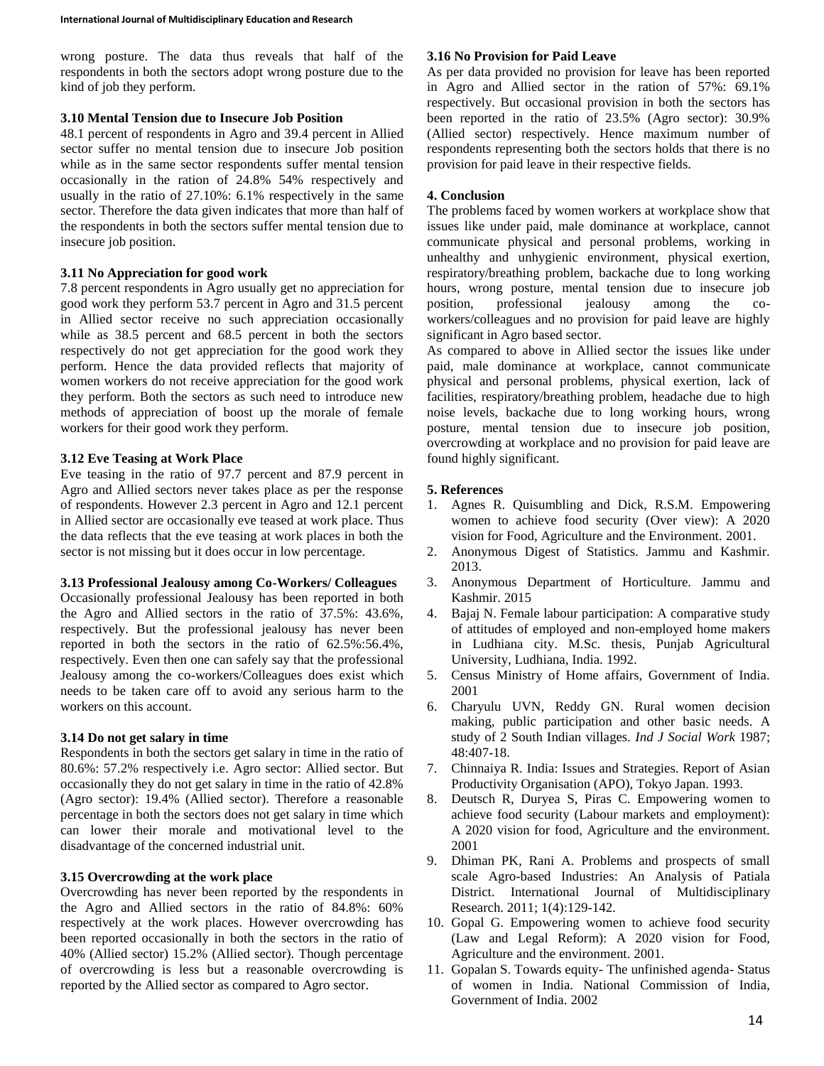wrong posture. The data thus reveals that half of the respondents in both the sectors adopt wrong posture due to the kind of job they perform.

#### **3.10 Mental Tension due to Insecure Job Position**

48.1 percent of respondents in Agro and 39.4 percent in Allied sector suffer no mental tension due to insecure Job position while as in the same sector respondents suffer mental tension occasionally in the ration of 24.8% 54% respectively and usually in the ratio of 27.10%: 6.1% respectively in the same sector. Therefore the data given indicates that more than half of the respondents in both the sectors suffer mental tension due to insecure job position.

#### **3.11 No Appreciation for good work**

7.8 percent respondents in Agro usually get no appreciation for good work they perform 53.7 percent in Agro and 31.5 percent in Allied sector receive no such appreciation occasionally while as 38.5 percent and 68.5 percent in both the sectors respectively do not get appreciation for the good work they perform. Hence the data provided reflects that majority of women workers do not receive appreciation for the good work they perform. Both the sectors as such need to introduce new methods of appreciation of boost up the morale of female workers for their good work they perform.

#### **3.12 Eve Teasing at Work Place**

Eve teasing in the ratio of 97.7 percent and 87.9 percent in Agro and Allied sectors never takes place as per the response of respondents. However 2.3 percent in Agro and 12.1 percent in Allied sector are occasionally eve teased at work place. Thus the data reflects that the eve teasing at work places in both the sector is not missing but it does occur in low percentage.

#### **3.13 Professional Jealousy among Co-Workers/ Colleagues**

Occasionally professional Jealousy has been reported in both the Agro and Allied sectors in the ratio of 37.5%: 43.6%, respectively. But the professional jealousy has never been reported in both the sectors in the ratio of 62.5%:56.4%, respectively. Even then one can safely say that the professional Jealousy among the co-workers/Colleagues does exist which needs to be taken care off to avoid any serious harm to the workers on this account.

# **3.14 Do not get salary in time**

Respondents in both the sectors get salary in time in the ratio of 80.6%: 57.2% respectively i.e. Agro sector: Allied sector. But occasionally they do not get salary in time in the ratio of 42.8% (Agro sector): 19.4% (Allied sector). Therefore a reasonable percentage in both the sectors does not get salary in time which can lower their morale and motivational level to the disadvantage of the concerned industrial unit.

# **3.15 Overcrowding at the work place**

Overcrowding has never been reported by the respondents in the Agro and Allied sectors in the ratio of 84.8%: 60% respectively at the work places. However overcrowding has been reported occasionally in both the sectors in the ratio of 40% (Allied sector) 15.2% (Allied sector). Though percentage of overcrowding is less but a reasonable overcrowding is reported by the Allied sector as compared to Agro sector.

# **3.16 No Provision for Paid Leave**

As per data provided no provision for leave has been reported in Agro and Allied sector in the ration of 57%: 69.1% respectively. But occasional provision in both the sectors has been reported in the ratio of 23.5% (Agro sector): 30.9% (Allied sector) respectively. Hence maximum number of respondents representing both the sectors holds that there is no provision for paid leave in their respective fields.

# **4. Conclusion**

The problems faced by women workers at workplace show that issues like under paid, male dominance at workplace, cannot communicate physical and personal problems, working in unhealthy and unhygienic environment, physical exertion, respiratory/breathing problem, backache due to long working hours, wrong posture, mental tension due to insecure job position, professional jealousy among the coworkers/colleagues and no provision for paid leave are highly significant in Agro based sector.

As compared to above in Allied sector the issues like under paid, male dominance at workplace, cannot communicate physical and personal problems, physical exertion, lack of facilities, respiratory/breathing problem, headache due to high noise levels, backache due to long working hours, wrong posture, mental tension due to insecure job position, overcrowding at workplace and no provision for paid leave are found highly significant.

# **5. References**

- 1. Agnes R. Quisumbling and Dick, R.S.M. Empowering women to achieve food security (Over view): A 2020 vision for Food, Agriculture and the Environment. 2001.
- 2. Anonymous Digest of Statistics. Jammu and Kashmir. 2013.
- 3. Anonymous Department of Horticulture. Jammu and Kashmir. 2015
- 4. Bajaj N. Female labour participation: A comparative study of attitudes of employed and non-employed home makers in Ludhiana city. M.Sc. thesis, Punjab Agricultural University, Ludhiana, India. 1992.
- 5. Census Ministry of Home affairs, Government of India. 2001
- 6. Charyulu UVN, Reddy GN. Rural women decision making, public participation and other basic needs. A study of 2 South Indian villages*. Ind J Social Work* 1987; 48:407-18.
- 7. Chinnaiya R. India: Issues and Strategies. Report of Asian Productivity Organisation (APO), Tokyo Japan. 1993.
- 8. Deutsch R, Duryea S, Piras C. Empowering women to achieve food security (Labour markets and employment): A 2020 vision for food, Agriculture and the environment. 2001
- 9. Dhiman PK, Rani A. Problems and prospects of small scale Agro-based Industries: An Analysis of Patiala District. International Journal of Multidisciplinary Research. 2011; 1(4):129-142.
- 10. Gopal G. Empowering women to achieve food security (Law and Legal Reform): A 2020 vision for Food, Agriculture and the environment. 2001.
- 11. Gopalan S. Towards equity- The unfinished agenda- Status of women in India. National Commission of India, Government of India. 2002